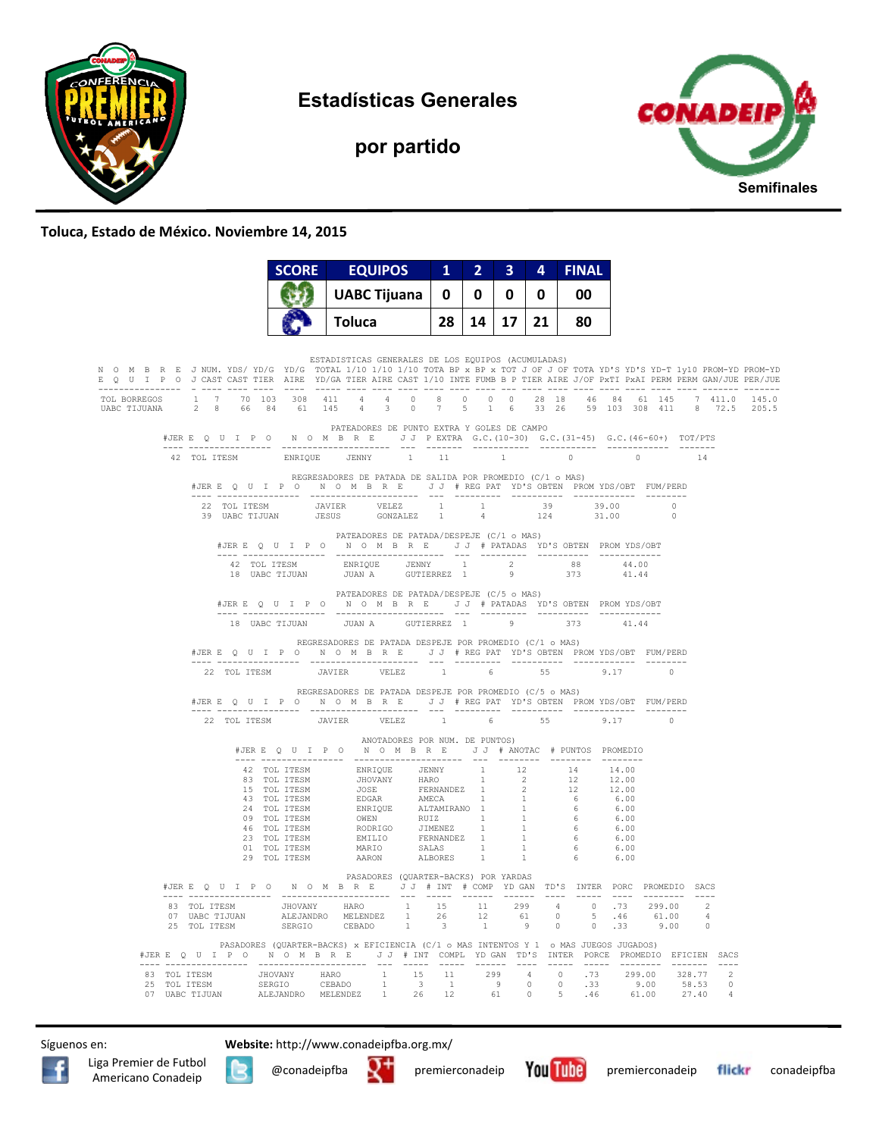

**Estadísticas Generales** 

**por partido** 



## **Toluca, Estado de México. Noviembre 14, 2015**

| <b>SCORE</b> | <b>EQUIPOS</b> |   |  | 4 | <b>FINAL</b> |
|--------------|----------------|---|--|---|--------------|
|              | UABC Tijuana   | 0 |  |   | 00           |
|              | Toluca         |   |  |   | 80           |

| E Q U I P O J CAST CAST TIER AIRE YD/GA TIER AIRE CAST 1/10 INTE FUMB B P TIER AIRE J/OF PXTI PXAI PERM BERM GAN/JUE PER/JUE |  |                                         |  |                |  |        |  |                                      | ESTADISTICAS GENERALES DE LOS EQUIPOS (ACUMULADAS)                                                                                                                                                                                                                                                                                                                                                                                                                                 |     |       |                         |    |                                                                                                                                                                                                | N O M B R E J NUM. YDS/YD/G YD/G TOTAL 1/10 1/10 1/10 TOTA BP x BP x TOT J OF J OF TOTA YD'S YD'S YD-T 1V10 PROM-YD PROM-YD |
|------------------------------------------------------------------------------------------------------------------------------|--|-----------------------------------------|--|----------------|--|--------|--|--------------------------------------|------------------------------------------------------------------------------------------------------------------------------------------------------------------------------------------------------------------------------------------------------------------------------------------------------------------------------------------------------------------------------------------------------------------------------------------------------------------------------------|-----|-------|-------------------------|----|------------------------------------------------------------------------------------------------------------------------------------------------------------------------------------------------|-----------------------------------------------------------------------------------------------------------------------------|
| TOL BORREGOS 1 7 70 103 308 411 4 4 0 8 0 0 0 28 18 46 84 61 145 7 411.0 145.0<br>UABC TIJUANA                               |  |                                         |  |                |  |        |  |                                      |                                                                                                                                                                                                                                                                                                                                                                                                                                                                                    |     |       |                         |    |                                                                                                                                                                                                | 2 8 66 84 61 145 4 3 0 7 5 1 6 33 26 59 103 308 411 8 72.5 205.5                                                            |
|                                                                                                                              |  |                                         |  |                |  |        |  |                                      | PATEADORES DE PUNTO EXTRA Y GOLES DE CAMPO<br>#JERE Q U I P O N O M B R E J J PEXTRA G.C. (10-30) G.C. (31-45) G.C. (46-60+) TOT/PTS                                                                                                                                                                                                                                                                                                                                               |     |       |                         |    |                                                                                                                                                                                                |                                                                                                                             |
|                                                                                                                              |  |                                         |  |                |  |        |  |                                      | 42 TOL ITESM ENRIQUE JENNY 1 11 1 1 0 0                                                                                                                                                                                                                                                                                                                                                                                                                                            |     |       |                         | 14 |                                                                                                                                                                                                |                                                                                                                             |
|                                                                                                                              |  |                                         |  |                |  |        |  |                                      | REGRESADORES DE PATADA DE SALIDA POR PROMEDIO (C/1 o MAS)<br>#JERE Q U I P O N O M B R E J J # REG PAT YD'S OBTEN PROMYDS/OBT FUM/PERD                                                                                                                                                                                                                                                                                                                                             |     |       |                         |    |                                                                                                                                                                                                |                                                                                                                             |
|                                                                                                                              |  |                                         |  |                |  |        |  |                                      | $\begin{tabular}{lcccccc} 22 & TOL ITESM & & & JAVIER & VELEZ & 1 & 1 & 39 & 39.00 \\ 39 & UABC TIJUAN & JESUS & GONZALEZ & 1 & 4 & 124 & 31.00 \\ \end{tabular}$                                                                                                                                                                                                                                                                                                                  |     |       | $\qquad \qquad \bullet$ |    |                                                                                                                                                                                                |                                                                                                                             |
|                                                                                                                              |  |                                         |  |                |  |        |  |                                      | PATEADORES DE PATADA/DESPEJE (C/1 o MAS)<br>#JERE Q U I P O N O M B R E J J # PATADAS YD'S OBTEN PROMYDS/OBT                                                                                                                                                                                                                                                                                                                                                                       |     |       |                         |    |                                                                                                                                                                                                |                                                                                                                             |
|                                                                                                                              |  |                                         |  |                |  |        |  |                                      |                                                                                                                                                                                                                                                                                                                                                                                                                                                                                    |     |       |                         |    |                                                                                                                                                                                                |                                                                                                                             |
|                                                                                                                              |  |                                         |  |                |  |        |  |                                      | PATEADORES DE PATADA/DESPEJE (C/5 o MAS)<br>#JERE Q U I P O N O M B R E J J # PATADAS YD'S OBTEN PROMYDS/OBT                                                                                                                                                                                                                                                                                                                                                                       |     |       |                         |    |                                                                                                                                                                                                |                                                                                                                             |
|                                                                                                                              |  |                                         |  | 18 UABC TIJUAN |  | JUAN A |  |                                      | GUTIERREZ 1 9<br>REGRESADORES DE PATADA DESPEJE POR PROMEDIO (C/1 o MAS)                                                                                                                                                                                                                                                                                                                                                                                                           | 373 | 41.44 |                         |    |                                                                                                                                                                                                |                                                                                                                             |
|                                                                                                                              |  |                                         |  |                |  |        |  |                                      | #JERE Q U I P O N O M B R E J J # REG PAT YD'S OBTEN PROMYDS/OBT FUM/PERD                                                                                                                                                                                                                                                                                                                                                                                                          |     |       |                         |    |                                                                                                                                                                                                |                                                                                                                             |
|                                                                                                                              |  |                                         |  |                |  |        |  |                                      | 22 TOL ITESM GAVIER VELEZ 1 6 55 9.17 0                                                                                                                                                                                                                                                                                                                                                                                                                                            |     |       |                         |    |                                                                                                                                                                                                |                                                                                                                             |
|                                                                                                                              |  |                                         |  |                |  |        |  |                                      | REGRESADORES DE PATADA DESPEJE POR PROMEDIO (C/5 o MAS)<br>#JERE Q U I P O N O M B R E J J # REG PAT YD'S OBTEN PROMYDS/OBT FUM/PERD                                                                                                                                                                                                                                                                                                                                               |     |       |                         |    |                                                                                                                                                                                                |                                                                                                                             |
|                                                                                                                              |  | 22 TOL ITESM GAVIER VELEZ $1$ 6 55 9.17 |  |                |  |        |  |                                      |                                                                                                                                                                                                                                                                                                                                                                                                                                                                                    |     |       | $\sim$ 0                |    |                                                                                                                                                                                                |                                                                                                                             |
|                                                                                                                              |  |                                         |  |                |  |        |  |                                      |                                                                                                                                                                                                                                                                                                                                                                                                                                                                                    |     |       |                         |    |                                                                                                                                                                                                |                                                                                                                             |
|                                                                                                                              |  |                                         |  |                |  |        |  | ANOTADORES POR NUM. DE PUNTOS)       | #JERE Q U I P O N O M B R E J J # ANOTAC # PUNTOS PROMEDIO                                                                                                                                                                                                                                                                                                                                                                                                                         |     |       |                         |    |                                                                                                                                                                                                |                                                                                                                             |
|                                                                                                                              |  |                                         |  |                |  |        |  |                                      |                                                                                                                                                                                                                                                                                                                                                                                                                                                                                    |     |       |                         |    |                                                                                                                                                                                                |                                                                                                                             |
|                                                                                                                              |  |                                         |  |                |  |        |  |                                      |                                                                                                                                                                                                                                                                                                                                                                                                                                                                                    |     |       |                         |    |                                                                                                                                                                                                |                                                                                                                             |
|                                                                                                                              |  |                                         |  |                |  |        |  |                                      |                                                                                                                                                                                                                                                                                                                                                                                                                                                                                    |     |       |                         |    |                                                                                                                                                                                                |                                                                                                                             |
|                                                                                                                              |  |                                         |  |                |  |        |  |                                      |                                                                                                                                                                                                                                                                                                                                                                                                                                                                                    |     |       |                         |    |                                                                                                                                                                                                |                                                                                                                             |
|                                                                                                                              |  |                                         |  |                |  |        |  |                                      |                                                                                                                                                                                                                                                                                                                                                                                                                                                                                    |     |       |                         |    |                                                                                                                                                                                                |                                                                                                                             |
|                                                                                                                              |  |                                         |  |                |  |        |  |                                      |                                                                                                                                                                                                                                                                                                                                                                                                                                                                                    |     |       |                         |    |                                                                                                                                                                                                |                                                                                                                             |
|                                                                                                                              |  |                                         |  |                |  |        |  |                                      |                                                                                                                                                                                                                                                                                                                                                                                                                                                                                    |     |       |                         |    |                                                                                                                                                                                                |                                                                                                                             |
|                                                                                                                              |  |                                         |  |                |  |        |  | PASADORES (QUARTER-BACKS) POR YARDAS | $\begin{tabular}{cccccccc} \textbf{1.5} & \textbf{1.6} & \textbf{1.6} & \textbf{1.6} & \textbf{1.6} & \textbf{1.6} & \textbf{1.6} & \textbf{1.6} & \textbf{1.6} & \textbf{1.6} & \textbf{1.6} & \textbf{1.6} & \textbf{1.6} & \textbf{1.6} & \textbf{1.6} & \textbf{1.6} & \textbf{1.6} & \textbf{1.6} & \textbf{1.6} & \textbf{1.6} & \textbf{1.6} & \textbf{1.6} & \textbf{1.6} & \textbf{$<br>#JERE Q U I P O N O M B R E J J # INT # COMP YD GAN TD'S INTER PORC PROMEDIO SACS |     |       |                         |    |                                                                                                                                                                                                |                                                                                                                             |
|                                                                                                                              |  |                                         |  |                |  |        |  |                                      |                                                                                                                                                                                                                                                                                                                                                                                                                                                                                    |     |       |                         |    |                                                                                                                                                                                                |                                                                                                                             |
|                                                                                                                              |  |                                         |  |                |  |        |  |                                      |                                                                                                                                                                                                                                                                                                                                                                                                                                                                                    |     |       |                         |    |                                                                                                                                                                                                |                                                                                                                             |
|                                                                                                                              |  |                                         |  |                |  |        |  |                                      | $\begin{tabular}{cccccccc} 83 & TOL ITESM & JHOVANY & HARO & 1 & 15 & 11 & 299 & 4 & 0 & .73 & 299.00 & 2\\ 07 & UABC TIJUAN & ALEJANDRO & MELENDEZ & 1 & 26 & 12 & 61 & 0 & 5 & .46 & 61.00 & 4\\ 25 & TOL ITESM & SERCIO & CEBADO & 1 & 3 & 1 & 9 & 0 & 0 & .33 & 9.00 & 0\\ \end{tabular}$                                                                                                                                                                                      |     |       |                         |    |                                                                                                                                                                                                |                                                                                                                             |
|                                                                                                                              |  |                                         |  |                |  |        |  |                                      | PASADORES (QUARTER-BACKS) x EFICIENCIA (C/1 o MAS INTENTOS Y 1 o MAS JUEGOS JUGADOS)                                                                                                                                                                                                                                                                                                                                                                                               |     |       |                         |    | #JER E Q U I P O N O M B R E U J # INT COMPL YD GAN TD'S INTER PORCE PROMEDIO EFICIEN SACS                                                                                                     |                                                                                                                             |
|                                                                                                                              |  |                                         |  |                |  |        |  |                                      |                                                                                                                                                                                                                                                                                                                                                                                                                                                                                    |     |       |                         |    | 83 TOL ITESM JHOVANY HARO 1 15 11 299 4 0 .73 299.00 328.77 2<br>25 TOL ITESM SERGIO CEBADO 1 3 1 9 0 0 .33 9.00 58.53 0<br>07 UABC TIJUAN ALEJANDRO MELENDEZ 1 26 12 61 0 5 .46 61.00 27.40 4 |                                                                                                                             |

Síguenos en: **Website:** http://www.conadeipfba.org.mx/







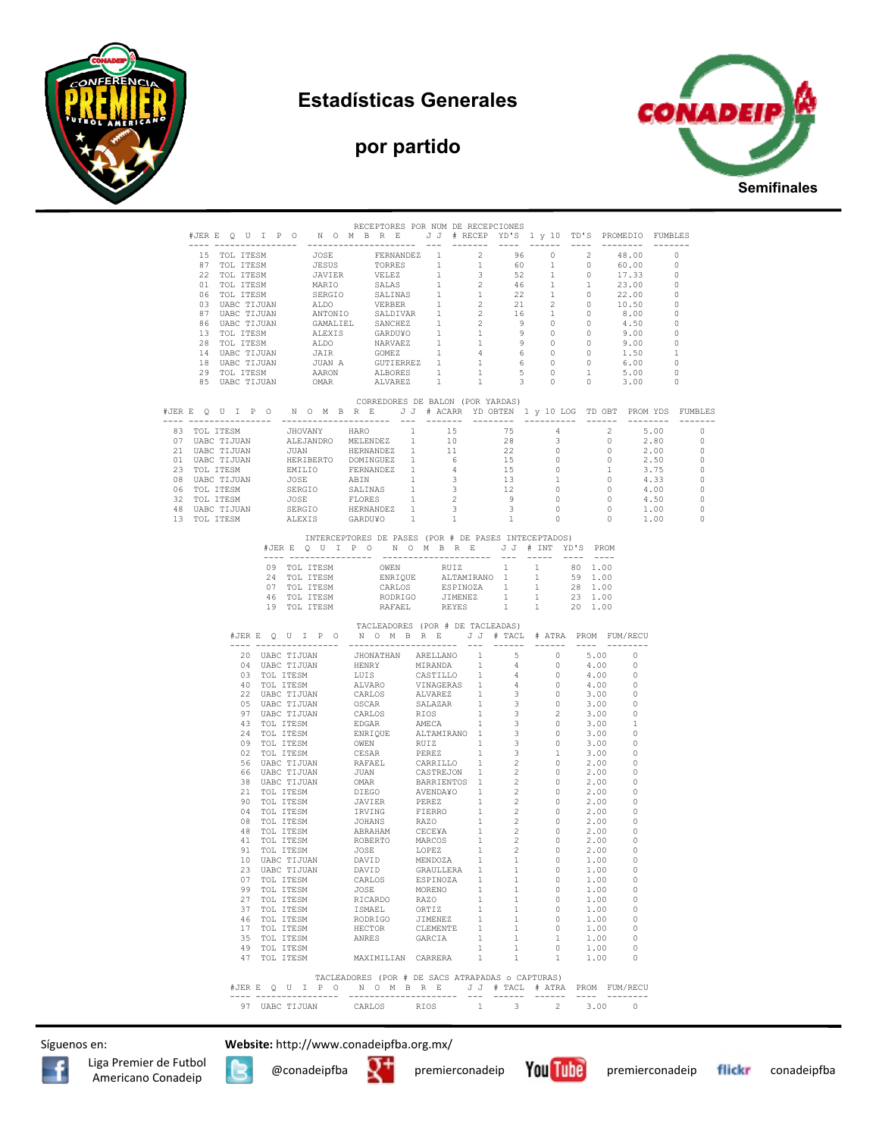



## **por partido**



|  |  |                              |                |                                                                                                                                                                                                                                                                                                                                                                                        |      |                |                      | RECEPTORES POR NUM DE RECEPCIONES |                            |              |                                                                       |  |  |
|--|--|------------------------------|----------------|----------------------------------------------------------------------------------------------------------------------------------------------------------------------------------------------------------------------------------------------------------------------------------------------------------------------------------------------------------------------------------------|------|----------------|----------------------|-----------------------------------|----------------------------|--------------|-----------------------------------------------------------------------|--|--|
|  |  |                              |                |                                                                                                                                                                                                                                                                                                                                                                                        |      |                |                      | .    .                            |                            |              | #JERE QUIPO NOMBRE JJ #RECEPYD'S 1 y 10 TD'S PROMEDIO FUMBLES         |  |  |
|  |  |                              |                |                                                                                                                                                                                                                                                                                                                                                                                        |      |                |                      |                                   |                            |              |                                                                       |  |  |
|  |  |                              |                |                                                                                                                                                                                                                                                                                                                                                                                        |      |                |                      |                                   |                            |              |                                                                       |  |  |
|  |  |                              |                |                                                                                                                                                                                                                                                                                                                                                                                        |      |                |                      |                                   |                            |              |                                                                       |  |  |
|  |  |                              |                |                                                                                                                                                                                                                                                                                                                                                                                        |      |                |                      |                                   |                            |              |                                                                       |  |  |
|  |  |                              |                |                                                                                                                                                                                                                                                                                                                                                                                        |      |                |                      |                                   |                            |              |                                                                       |  |  |
|  |  |                              |                |                                                                                                                                                                                                                                                                                                                                                                                        |      |                |                      |                                   |                            |              |                                                                       |  |  |
|  |  |                              |                |                                                                                                                                                                                                                                                                                                                                                                                        |      |                |                      |                                   |                            |              |                                                                       |  |  |
|  |  |                              |                |                                                                                                                                                                                                                                                                                                                                                                                        |      |                |                      |                                   |                            |              |                                                                       |  |  |
|  |  |                              |                |                                                                                                                                                                                                                                                                                                                                                                                        |      |                |                      |                                   |                            |              |                                                                       |  |  |
|  |  |                              |                |                                                                                                                                                                                                                                                                                                                                                                                        |      |                |                      |                                   |                            |              |                                                                       |  |  |
|  |  |                              |                |                                                                                                                                                                                                                                                                                                                                                                                        |      |                |                      |                                   |                            |              |                                                                       |  |  |
|  |  |                              |                |                                                                                                                                                                                                                                                                                                                                                                                        |      |                |                      |                                   |                            |              |                                                                       |  |  |
|  |  |                              |                | CORREDORES DE BALON (POR YARDAS)                                                                                                                                                                                                                                                                                                                                                       |      |                |                      |                                   |                            |              |                                                                       |  |  |
|  |  |                              |                |                                                                                                                                                                                                                                                                                                                                                                                        |      |                |                      |                                   |                            |              | #JERE QUIPONOMBRE JJ # ACARR YDOBTEN 1 y 10 LOG TDOBT PROMYDS FUMBLES |  |  |
|  |  |                              |                |                                                                                                                                                                                                                                                                                                                                                                                        |      |                |                      |                                   |                            |              |                                                                       |  |  |
|  |  |                              |                |                                                                                                                                                                                                                                                                                                                                                                                        |      |                |                      |                                   |                            |              |                                                                       |  |  |
|  |  |                              |                |                                                                                                                                                                                                                                                                                                                                                                                        |      |                |                      |                                   |                            |              |                                                                       |  |  |
|  |  |                              |                |                                                                                                                                                                                                                                                                                                                                                                                        |      |                |                      |                                   |                            |              |                                                                       |  |  |
|  |  |                              |                |                                                                                                                                                                                                                                                                                                                                                                                        |      |                |                      |                                   |                            |              |                                                                       |  |  |
|  |  |                              |                |                                                                                                                                                                                                                                                                                                                                                                                        |      |                |                      |                                   |                            |              |                                                                       |  |  |
|  |  |                              |                |                                                                                                                                                                                                                                                                                                                                                                                        |      |                |                      |                                   |                            |              |                                                                       |  |  |
|  |  |                              |                |                                                                                                                                                                                                                                                                                                                                                                                        |      |                |                      |                                   |                            |              |                                                                       |  |  |
|  |  |                              |                |                                                                                                                                                                                                                                                                                                                                                                                        |      |                |                      |                                   |                            |              |                                                                       |  |  |
|  |  |                              |                | INTERCEPTORES DE PASES (POR # DE PASES INTECEPTADOS)<br>#JERE QUIPO NOMBRE JJ # INT YD'S PROM                                                                                                                                                                                                                                                                                          |      |                |                      |                                   |                            |              |                                                                       |  |  |
|  |  |                              |                |                                                                                                                                                                                                                                                                                                                                                                                        |      |                |                      |                                   |                            |              |                                                                       |  |  |
|  |  |                              |                |                                                                                                                                                                                                                                                                                                                                                                                        |      |                |                      |                                   |                            |              |                                                                       |  |  |
|  |  |                              |                |                                                                                                                                                                                                                                                                                                                                                                                        |      |                |                      |                                   |                            |              |                                                                       |  |  |
|  |  |                              |                |                                                                                                                                                                                                                                                                                                                                                                                        |      |                |                      |                                   |                            |              |                                                                       |  |  |
|  |  |                              |                | $\begin{tabular}{cccc} 09 & TOL TTESM & & & & & & & & & & & & & & & & 1 & 1 & 80 & 1.00 \\ 24 & TOL TTESM & & & & & & & & & & & & & & 1 & 1 & 59 & 1.00 \\ 07 & TOL TTESM & & & & & & & & & & & & & & 1 & 1 & 28 & 1.00 \\ 46 & TOL TTESM & & & & & & & & & & & & & & 1 & 1 & 28 & 1.00 \\ 46 & TOL TTESM & & & & & & & & & & & & & 1 & 1 & 23 & 1.00 \\ 19 & TOL TTESM & & & & & & &$ |      |                |                      |                                   |                            |              |                                                                       |  |  |
|  |  |                              |                |                                                                                                                                                                                                                                                                                                                                                                                        |      |                |                      |                                   |                            |              |                                                                       |  |  |
|  |  |                              |                |                                                                                                                                                                                                                                                                                                                                                                                        |      |                |                      | TACLEADORES (POR # DE TACLEADAS)  |                            |              | #JERE QUIPO NOMBRE JJ # TACL # ATRA PROMFUM/RECU                      |  |  |
|  |  |                              |                |                                                                                                                                                                                                                                                                                                                                                                                        |      |                |                      |                                   |                            |              |                                                                       |  |  |
|  |  |                              |                |                                                                                                                                                                                                                                                                                                                                                                                        |      |                |                      |                                   |                            |              |                                                                       |  |  |
|  |  |                              |                |                                                                                                                                                                                                                                                                                                                                                                                        |      |                |                      |                                   |                            |              |                                                                       |  |  |
|  |  |                              |                |                                                                                                                                                                                                                                                                                                                                                                                        |      |                |                      |                                   |                            |              |                                                                       |  |  |
|  |  |                              |                |                                                                                                                                                                                                                                                                                                                                                                                        |      |                |                      |                                   |                            |              |                                                                       |  |  |
|  |  |                              |                |                                                                                                                                                                                                                                                                                                                                                                                        |      |                |                      |                                   |                            |              |                                                                       |  |  |
|  |  |                              |                |                                                                                                                                                                                                                                                                                                                                                                                        |      |                |                      |                                   |                            |              |                                                                       |  |  |
|  |  |                              |                |                                                                                                                                                                                                                                                                                                                                                                                        |      |                |                      |                                   |                            |              |                                                                       |  |  |
|  |  |                              |                |                                                                                                                                                                                                                                                                                                                                                                                        |      |                |                      |                                   |                            |              |                                                                       |  |  |
|  |  |                              |                |                                                                                                                                                                                                                                                                                                                                                                                        |      |                |                      |                                   |                            |              |                                                                       |  |  |
|  |  |                              |                |                                                                                                                                                                                                                                                                                                                                                                                        |      |                |                      |                                   |                            |              |                                                                       |  |  |
|  |  |                              |                |                                                                                                                                                                                                                                                                                                                                                                                        |      |                |                      |                                   |                            |              |                                                                       |  |  |
|  |  |                              |                |                                                                                                                                                                                                                                                                                                                                                                                        |      |                |                      |                                   |                            |              |                                                                       |  |  |
|  |  |                              |                |                                                                                                                                                                                                                                                                                                                                                                                        |      |                |                      |                                   |                            |              |                                                                       |  |  |
|  |  |                              |                |                                                                                                                                                                                                                                                                                                                                                                                        |      |                |                      |                                   |                            |              |                                                                       |  |  |
|  |  |                              |                |                                                                                                                                                                                                                                                                                                                                                                                        |      |                |                      |                                   |                            |              |                                                                       |  |  |
|  |  |                              |                |                                                                                                                                                                                                                                                                                                                                                                                        |      |                |                      |                                   |                            |              |                                                                       |  |  |
|  |  |                              |                |                                                                                                                                                                                                                                                                                                                                                                                        |      |                |                      |                                   |                            |              |                                                                       |  |  |
|  |  |                              | 10 UABC TIJUAN | DAVID                                                                                                                                                                                                                                                                                                                                                                                  |      |                |                      |                                   | MENDOZA 1 1 0              | 1.00         |                                                                       |  |  |
|  |  | 23 UABC TIJUAN               |                | DAVID                                                                                                                                                                                                                                                                                                                                                                                  |      | GRAULLERA 1    |                      | 1                                 | $\overline{0}$             | 1.00         | $\sim$ 0                                                              |  |  |
|  |  | 07 TOL ITESM                 |                | CARLOS                                                                                                                                                                                                                                                                                                                                                                                 |      | ESPINOZA 1     |                      | 1                                 | $\overline{0}$             | 1.00         | $\overline{0}$                                                        |  |  |
|  |  | 99 TOL ITESM<br>27 TOL ITESM |                | JOSE<br>RICARDO                                                                                                                                                                                                                                                                                                                                                                        |      | MORENO<br>RAZO | 1<br>1               | 1<br>$\mathbf{1}$                 | $\overline{0}$<br>$\sim$ 0 | 1.00<br>1.00 | $\sim$ 0<br>$\circ$                                                   |  |  |
|  |  | 37 TOL ITESM                 |                | ISMAEL                                                                                                                                                                                                                                                                                                                                                                                 |      | ORTIZ          | 1                    | 1                                 | $\overline{0}$             | 1.00         | $\sim$ 0                                                              |  |  |
|  |  | 46 TOL ITESM                 |                | RODRIGO                                                                                                                                                                                                                                                                                                                                                                                |      | <b>JIMENEZ</b> | 1                    | $\mathbf{1}$                      | $\overline{0}$             | 1.00         | $\bigcirc$                                                            |  |  |
|  |  | 17 TOL ITESM                 |                | HECTOR                                                                                                                                                                                                                                                                                                                                                                                 |      | CLEMENTE       | 1                    | 1                                 | $\overline{0}$             | 1.00         | $\sim$ 0                                                              |  |  |
|  |  | 35 TOL ITESM<br>49 TOL ITESM |                | ANRES                                                                                                                                                                                                                                                                                                                                                                                  |      | GARCIA         | 1<br>1               | 1<br>1                            | $\mathbf{1}$<br>$\sim$ 0   | 1.00<br>1.00 | - 0<br>$\overline{\phantom{0}}$                                       |  |  |
|  |  | 47 TOL ITESM                 |                | MAXIMILIAN CARRERA                                                                                                                                                                                                                                                                                                                                                                     |      |                | 1                    | 1                                 | $\mathbf{1}$               | 1.00         | $\sim$ 0                                                              |  |  |
|  |  |                              |                |                                                                                                                                                                                                                                                                                                                                                                                        |      |                |                      |                                   |                            |              |                                                                       |  |  |
|  |  |                              |                | TACLEADORES (POR # DE SACS ATRAPADAS o CAPTURAS)                                                                                                                                                                                                                                                                                                                                       |      |                |                      |                                   |                            |              | #JERE QUIPO NOMBRE JJ # TACL # ATRA PROMFUM/RECU                      |  |  |
|  |  |                              |                |                                                                                                                                                                                                                                                                                                                                                                                        |      |                | $\sim$ $\sim$ $\sim$ |                                   |                            |              |                                                                       |  |  |
|  |  | 97 UABC TIJUAN               |                | CARLOS                                                                                                                                                                                                                                                                                                                                                                                 | RIOS |                | 1                    | $\sim$ 3                          | $\sim$ 2                   |              | 3.00 0                                                                |  |  |

Síguenos en: **Website:** http://www.conadeipfba.org.mx/